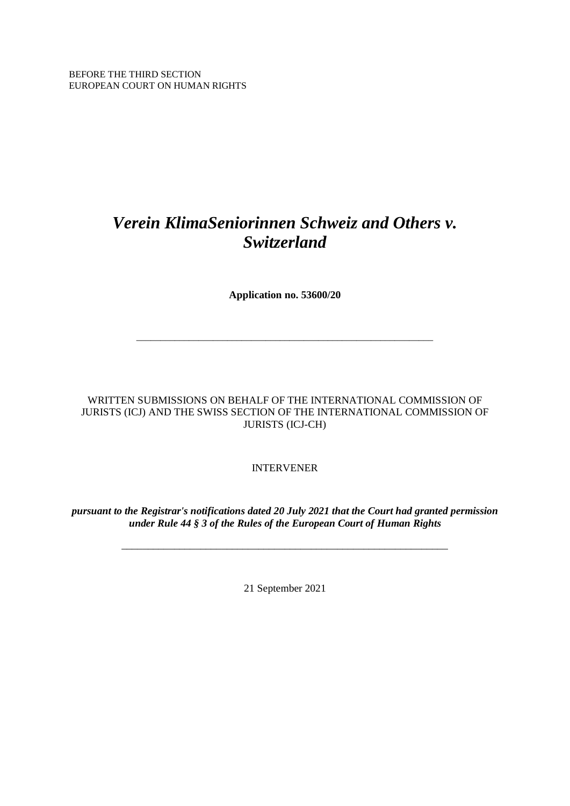BEFORE THE THIRD SECTION EUROPEAN COURT ON HUMAN RIGHTS

# *Verein KlimaSeniorinnen Schweiz and Others v. Switzerland*

**Application no. 53600/20**

\_\_\_\_\_\_\_\_\_\_\_\_\_\_\_\_\_\_\_\_\_\_\_\_\_\_\_\_\_\_\_\_\_\_\_\_\_\_\_\_\_\_\_\_\_\_\_\_\_\_\_\_\_\_\_\_\_\_\_\_\_\_

WRITTEN SUBMISSIONS ON BEHALF OF THE INTERNATIONAL COMMISSION OF JURISTS (ICJ) AND THE SWISS SECTION OF THE INTERNATIONAL COMMISSION OF JURISTS (ICJ-CH)

INTERVENER

*pursuant to the Registrar's notifications dated 20 July 2021 that the Court had granted permission under Rule 44 § 3 of the Rules of the European Court of Human Rights*

\_\_\_\_\_\_\_\_\_\_\_\_\_\_\_\_\_\_\_\_\_\_\_\_\_\_\_\_\_\_\_\_\_\_\_\_\_\_\_\_\_\_\_\_\_\_\_\_\_\_\_\_\_\_\_\_\_\_\_\_\_\_

21 September 2021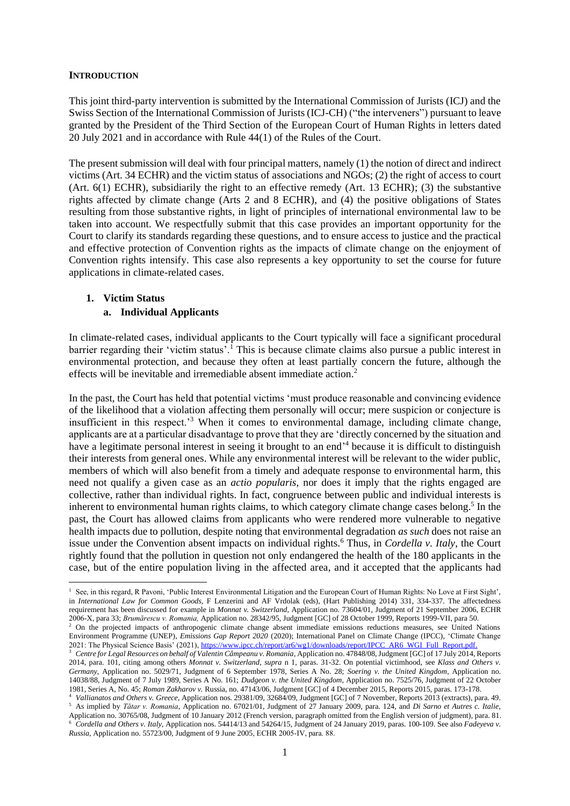#### **INTRODUCTION**

This joint third-party intervention is submitted by the International Commission of Jurists (ICJ) and the Swiss Section of the International Commission of Jurists (ICJ-CH) ("the interveners") pursuant to leave granted by the President of the Third Section of the European Court of Human Rights in letters dated 20 July 2021 and in accordance with Rule 44(1) of the Rules of the Court.

The present submission will deal with four principal matters, namely (1) the notion of direct and indirect victims (Art. 34 ECHR) and the victim status of associations and NGOs; (2) the right of access to court (Art. 6(1) ECHR), subsidiarily the right to an effective remedy (Art. 13 ECHR); (3) the substantive rights affected by climate change (Arts 2 and 8 ECHR), and (4) the positive obligations of States resulting from those substantive rights, in light of principles of international environmental law to be taken into account. We respectfully submit that this case provides an important opportunity for the Court to clarify its standards regarding these questions, and to ensure access to justice and the practical and effective protection of Convention rights as the impacts of climate change on the enjoyment of Convention rights intensify. This case also represents a key opportunity to set the course for future applications in climate-related cases.

#### **1. Victim Status**

### <span id="page-1-3"></span><span id="page-1-0"></span>**a. Individual Applicants**

In climate-related cases, individual applicants to the Court typically will face a significant procedural barrier regarding their 'victim status'.<sup>1</sup> This is because climate claims also pursue a public interest in environmental protection, and because they often at least partially concern the future, although the effects will be inevitable and irremediable absent immediate action.<sup>2</sup>

<span id="page-1-2"></span>In the past, the Court has held that potential victims 'must produce reasonable and convincing evidence of the likelihood that a violation affecting them personally will occur; mere suspicion or conjecture is insufficient in this respect.'<sup>3</sup> When it comes to environmental damage, including climate change, applicants are at a particular disadvantage to prove that they are 'directly concerned by the situation and have a legitimate personal interest in seeing it brought to an end' <sup>4</sup> because it is difficult to distinguish their interests from general ones. While any environmental interest will be relevant to the wider public, members of which will also benefit from a timely and adequate response to environmental harm, this need not qualify a given case as an *actio popularis*, nor does it imply that the rights engaged are collective, rather than individual rights. In fact, congruence between public and individual interests is inherent to environmental human rights claims, to which category climate change cases belong.<sup>5</sup> In the past, the Court has allowed claims from applicants who were rendered more vulnerable to negative health impacts due to pollution, despite noting that environmental degradation *as such* does not raise an issue under the Convention absent impacts on individual rights.<sup>6</sup> Thus, in *Cordella v. Italy*, the Court rightly found that the pollution in question not only endangered the health of the 180 applicants in the case, but of the entire population living in the affected area, and it accepted that the applicants had

<span id="page-1-1"></span><sup>&</sup>lt;sup>1</sup> See, in this regard, R Pavoni, 'Public Interest Environmental Litigation and the European Court of Human Rights: No Love at First Sight', in *International Law for Common Goods*, F Lenzerini and AF Vrdolak (eds), (Hart Publishing 2014) 331, 334-337. The affectedness requirement has been discussed for example in *Monnat v. Switzerland*, Application no. 73604/01, Judgment of 21 September 2006, ECHR 2006‑X, para 33; *Brumărescu v. Romania,* Application no. 28342/95, Judgment [GC] of 28 October 1999, Reports 1999-VII, para 50.

<sup>&</sup>lt;sup>2</sup> On the projected impacts of anthropogenic climate change absent immediate emissions reductions measures, see United Nations Environment Programme (UNEP), *Emissions Gap Report 2020* (2020); International Panel on Climate Change (IPCC), 'Climate Change 2021: The Physical Science Basis' (2021), [https://www.ipcc.ch/report/ar6/wg1/downloads/report/IPCC\\_AR6\\_WGI\\_Full\\_Report.pdf.](https://www.ipcc.ch/report/ar6/wg1/downloads/report/IPCC_AR6_WGI_Full_Report.pdf.)

<sup>3</sup> *Centre for Legal Resources on behalf of Valentin Câmpeanu v. Romania*, Application no. 47848/08, Judgment [GC] of 17 July 2014, Reports 2014, para. 101, citing among others *Monnat v. Switzerland*, *supra* n [1,](#page-1-0) paras. 31-32. On potential victimhood, see *Klass and Others v. Germany*, Application no. 5029/71, Judgment of 6 September 1978, Series A No. 28; *Soering v. the United Kingdom*, Application no. 14038/88, Judgment of 7 July 1989, Series A No. 161; *Dudgeon v. the United Kingdom*, Application no. 7525/76, Judgment of 22 October 1981, Series A, No. 45; *Roman Zakharov v.* Russia, no. 47143/06, Judgment [GC] of 4 December 2015, Reports 2015, paras. 173-178.

<sup>4</sup> *Vallianatos and Others v. Greece*, Application nos. 29381/09, 32684/09, Judgment [GC] of 7 November, Reports 2013 (extracts), para. 49. <sup>5</sup> As implied by *Tătar v. Romania*, Application no. 67021/01, Judgment of 27 January 2009, para. 124, and *Di Sarno et Autres c. Italie*, Application no. 30765/08, Judgment of 10 January 2012 (French version, paragraph omitted from the English version of judgment), para. 81. <sup>6</sup> *Cordella and Others v. Italy*, Application nos. 54414/13 and 54264/15, Judgment of 24 January 2019, paras. 100-109. See also *Fadeyeva v. Russia*, Application no. 55723/00, Judgment of 9 June 2005, ECHR 2005‑IV, para. 88.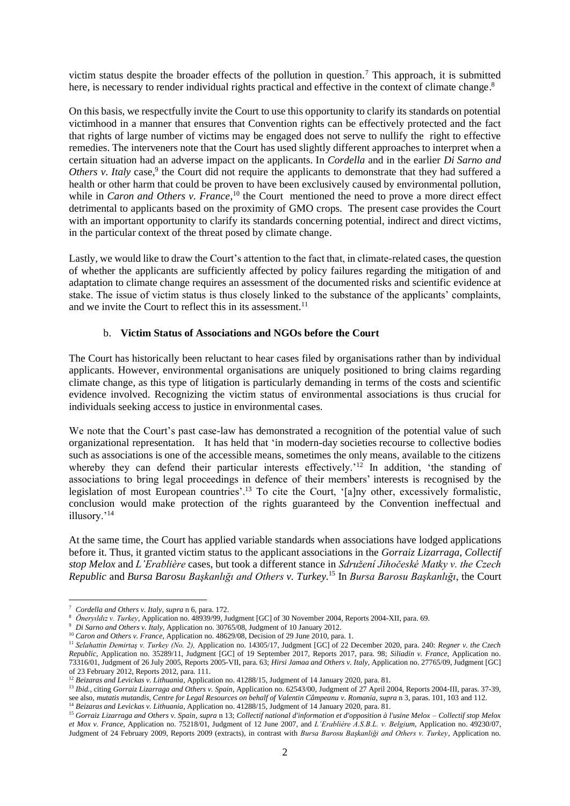victim status despite the broader effects of the pollution in question.<sup>7</sup> This approach, it is submitted here, is necessary to render individual rights practical and effective in the context of climate change.<sup>8</sup>

On this basis, we respectfully invite the Court to use this opportunity to clarify its standards on potential victimhood in a manner that ensures that Convention rights can be effectively protected and the fact that rights of large number of victims may be engaged does not serve to nullify the right to effective remedies. The interveners note that the Court has used slightly different approaches to interpret when a certain situation had an adverse impact on the applicants. In *Cordella* and in the earlier *Di Sarno and*  Others v. Italy case,<sup>9</sup> the Court did not require the applicants to demonstrate that they had suffered a health or other harm that could be proven to have been exclusively caused by environmental pollution, while in *Caron and Others v. France*,<sup>10</sup> the Court mentioned the need to prove a more direct effect detrimental to applicants based on the proximity of GMO crops. The present case provides the Court with an important opportunity to clarify its standards concerning potential, indirect and direct victims, in the particular context of the threat posed by climate change.

Lastly, we would like to draw the Court's attention to the fact that, in climate-related cases, the question of whether the applicants are sufficiently affected by policy failures regarding the mitigation of and adaptation to climate change requires an assessment of the documented risks and scientific evidence at stake. The issue of victim status is thus closely linked to the substance of the applicants' complaints, and we invite the Court to reflect this in its assessment.<sup>11</sup>

## b. **Victim Status of Associations and NGOs before the Court**

The Court has historically been reluctant to hear cases filed by organisations rather than by individual applicants. However, environmental organisations are uniquely positioned to bring claims regarding climate change, as this type of litigation is particularly demanding in terms of the costs and scientific evidence involved. Recognizing the victim status of environmental associations is thus crucial for individuals seeking access to justice in environmental cases.

We note that the Court's past case-law has demonstrated a recognition of the potential value of such organizational representation. It has held that 'in modern-day societies recourse to collective bodies such as associations is one of the accessible means, sometimes the only means, available to the citizens whereby they can defend their particular interests effectively.<sup>'12</sup> In addition, 'the standing of associations to bring legal proceedings in defence of their members' interests is recognised by the legislation of most European countries'.<sup>13</sup> To cite the Court, '[a]ny other, excessively formalistic, conclusion would make protection of the rights guaranteed by the Convention ineffectual and illusory.'<sup>14</sup>

<span id="page-2-0"></span>At the same time, the Court has applied variable standards when associations have lodged applications before it. Thus, it granted victim status to the applicant associations in the *Gorraiz Lizarraga*, *Collectif stop Melox* and *L'Erablière* cases, but took a different stance in *Sdružení Jihočeské Matky v. the Czech Republic* and *Bursa Barosu Başkanlığı and Others v. Turkey.*<sup>15</sup> In *Bursa Barosu Başkanlığı*, the Court

<sup>7</sup> *Cordella and Others v. Italy*, *supra* n [6,](#page-1-1) para. 172.

<span id="page-2-1"></span><sup>8</sup> *Öneryıldız v. Turkey*, Application no. 48939/99, Judgment [GC] of 30 November 2004, Reports 2004-XII, para. 69.

<sup>9</sup> *Di Sarno and Others v. Italy*, Application no. 30765/08, Judgment of 10 January 2012.

<sup>&</sup>lt;sup>10</sup> *Caron and Others v. France*, Application no. 48629/08, Decision of 29 June 2010, para. 1.

<sup>11</sup> *Selahattin Demirtaş v. Turkey (No. 2),* Application no. 14305/17, Judgment [GC] of 22 December 2020, para. 240: *Regner v. the Czech Republic*, Application no. 35289/11, Judgment [GC] of 19 September 2017, Reports 2017, para. 98; *Siliadin v. France*, Application no. 73316/01, Judgment of 26 July 2005, Reports 2005-VII, para. 63; *Hirsi Jamaa and Others v. Italy*, Application no. 27765/09, Judgment [GC] of 23 February 2012, Reports 2012, para. 111.

<sup>&</sup>lt;sup>12</sup> Beizaras and Levickas v. Lithuania, Application no. 41288/15, Judgment of 14 January 2020, para. 81.

<sup>&</sup>lt;sup>13</sup> *Ibid.*, citing *Gorraiz Lizarraga and Others v. Spain*, Application no. 62543/00, Judgment of 27 April 2004, Reports 2004-III, paras. 37-39, see also, *mutatis mutandis*, *Centre for Legal Resources on behalf of Valentin Câmpeanu v. Romania*, *supra* n [3,](#page-1-2) paras. 101, 103 and 112. <sup>14</sup> Beizaras and Levickas v. Lithuania, Application no. 41288/15, Judgment of 14 January 2020, para. 81.

<sup>15</sup> *Gorraiz Lizarraga and Others v. Spain*, *supra* n [13;](#page-2-0) *Collectif national d'information et d'opposition à l'usine Melox – Collectif stop Melox et Mox v. France,* Application no. 75218/01, Judgment of 12 June 2007, and *L'Erablière A.S.B.L. v. Belgium*, Application no. 49230/07, Judgment of 24 February 2009, Reports 2009 (extracts), in contrast with *Bursa Barosu Başkanliği and Others v. Turkey*, Application no.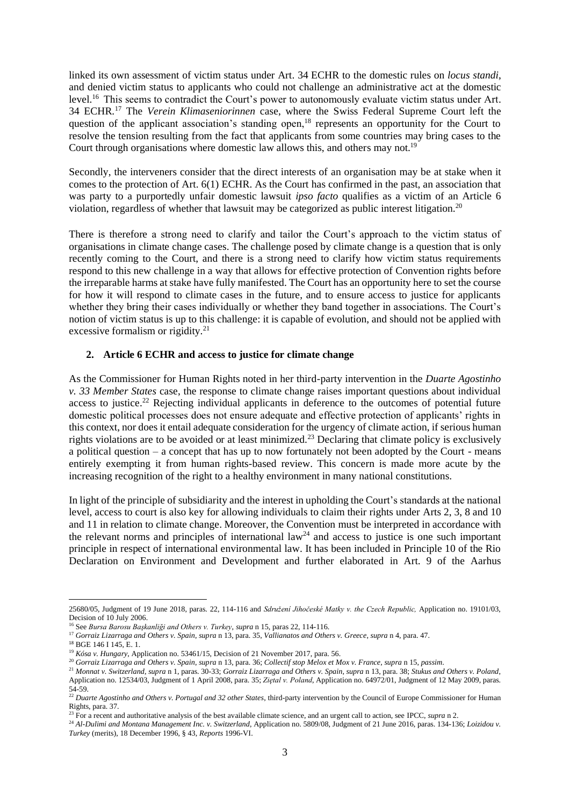linked its own assessment of victim status under Art. 34 ECHR to the domestic rules on *locus standi*, and denied victim status to applicants who could not challenge an administrative act at the domestic level.<sup>16</sup> This seems to contradict the Court's power to autonomously evaluate victim status under Art. 34 ECHR.<sup>17</sup> The *Verein Klimaseniorinnen* case, where the Swiss Federal Supreme Court left the question of the applicant association's standing open,<sup>18</sup> represents an opportunity for the Court to resolve the tension resulting from the fact that applicants from some countries may bring cases to the Court through organisations where domestic law allows this, and others may not.<sup>19</sup>

Secondly, the interveners consider that the direct interests of an organisation may be at stake when it comes to the protection of Art. 6(1) ECHR. As the Court has confirmed in the past, an association that was party to a purportedly unfair domestic lawsuit *ipso facto* qualifies as a victim of an Article 6 violation, regardless of whether that lawsuit may be categorized as public interest litigation.<sup>20</sup>

There is therefore a strong need to clarify and tailor the Court's approach to the victim status of organisations in climate change cases. The challenge posed by climate change is a question that is only recently coming to the Court, and there is a strong need to clarify how victim status requirements respond to this new challenge in a way that allows for effective protection of Convention rights before the irreparable harms at stake have fully manifested. The Court has an opportunity here to set the course for how it will respond to climate cases in the future, and to ensure access to justice for applicants whether they bring their cases individually or whether they band together in associations. The Court's notion of victim status is up to this challenge: it is capable of evolution, and should not be applied with excessive formalism or rigidity.<sup>21</sup>

#### **2. Article 6 ECHR and access to justice for climate change**

As the Commissioner for Human Rights noted in her third-party intervention in the *Duarte Agostinho v. 33 Member States* case, the response to climate change raises important questions about individual access to justice.<sup>22</sup> Rejecting individual applicants in deference to the outcomes of potential future domestic political processes does not ensure adequate and effective protection of applicants' rights in this context, nor does it entail adequate consideration for the urgency of climate action, if serious human rights violations are to be avoided or at least minimized.<sup>23</sup> Declaring that climate policy is exclusively a political question – a concept that has up to now fortunately not been adopted by the Court - means entirely exempting it from human rights-based review. This concern is made more acute by the increasing recognition of the right to a healthy environment in many national constitutions.

In light of the principle of subsidiarity and the interest in upholding the Court's standards at the national level, access to court is also key for allowing individuals to claim their rights under Arts 2, 3, 8 and 10 and 11 in relation to climate change. Moreover, the Convention must be interpreted in accordance with the relevant norms and principles of international  $law<sup>24</sup>$  and access to justice is one such important principle in respect of international environmental law. It has been included in Principle 10 of the Rio Declaration on Environment and Development and further elaborated in Art. 9 of the Aarhus

<sup>25680/05,</sup> Judgment of 19 June 2018, paras. 22, 114-116 and *Sdružení Jihočeské Matky v. the Czech Republic,* Application no. 19101/03, Decision of 10 July 2006.

<sup>16</sup> See *Bursa Barosu Başkanliği and Others v. Turkey*, *supra* n [15,](#page-2-1) paras 22, 114-116.

<sup>17</sup> *Gorraiz Lizarraga and Others v. Spain*, *supra* [n 13,](#page-2-0) para. 35, *Vallianatos and Others v. Greece*, *supra* [n 4,](#page-1-3) para. 47.

<sup>18</sup> BGE 146 I 145, E. 1.

<sup>19</sup> *Kósa v. Hungary*, Application no. 53461/15, Decision of 21 November 2017, para. 56.

<sup>20</sup> *Gorraiz Lizarraga and Others v. Spain*, *supra* [n 13,](#page-2-0) para. 36; *Collectif stop Melox et Mox v. France*, *supra* n [15,](#page-2-1) *passim*.

<sup>21</sup> *Monnat v. Switzerland*, *supra* [n 1,](#page-1-0) paras. 30-33; *Gorraiz Lizarraga and Others v. Spain*, *supra* n [13,](#page-2-0) para. 38; *Stukus and Others v. Poland*, Application no. 12534/03, Judgment of 1 April 2008, para. 35; *Ziętal v. Poland*, Application no. 64972/01, Judgment of 12 May 2009, paras. 54-59.

<sup>22</sup> *Duarte Agostinho and Others v. Portugal and 32 other States*, third-party intervention by the Council of Europe Commissioner for Human Rights, para. 37.

<sup>&</sup>lt;sup>23</sup> For a recent and authoritative analysis of the best available climate science, and an urgent call to action, see IPCC, *supra* n 2.

<sup>&</sup>lt;sup>24</sup> Al-Dulimi and Montana Management Inc. v. Switzerland, Application no. 5809/08, Judgment of 21 June 2016, paras. 134-136; Loizidou v. *Turkey* (merits), 18 December 1996, § 43, *Reports* 1996-VI.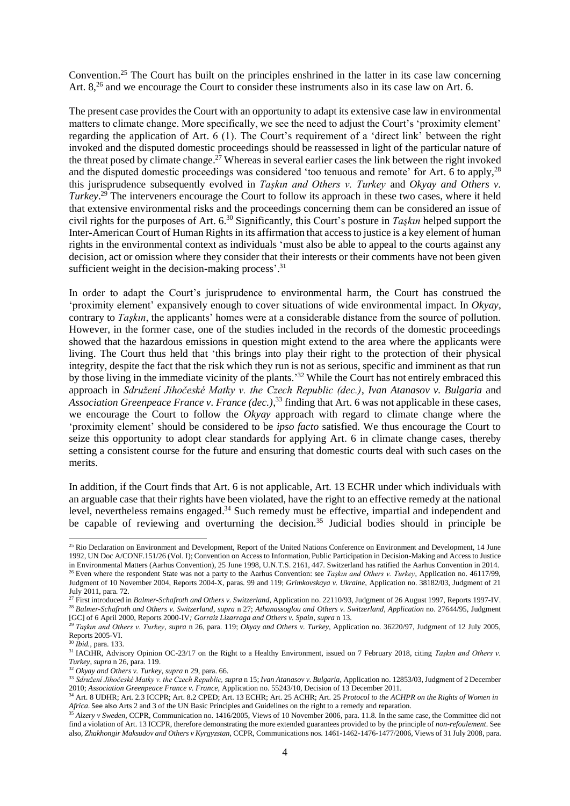<span id="page-4-1"></span>Convention.<sup>25</sup> The Court has built on the principles enshrined in the latter in its case law concerning Art. 8,<sup>26</sup> and we encourage the Court to consider these instruments also in its case law on Art. 6.

<span id="page-4-2"></span><span id="page-4-0"></span>The present case provides the Court with an opportunity to adapt its extensive case law in environmental matters to climate change. More specifically, we see the need to adjust the Court's 'proximity element' regarding the application of Art. 6 (1). The Court's requirement of a 'direct link' between the right invoked and the disputed domestic proceedings should be reassessed in light of the particular nature of the threat posed by climate change.<sup>27</sup> Whereas in several earlier cases the link between the right invoked and the disputed domestic proceedings was considered 'too tenuous and remote' for Art. 6 to apply,<sup>28</sup> this jurisprudence subsequently evolved in *Taşkın and Others v. Turkey* and *Okyay and Others v. Turkey*. <sup>29</sup> The interveners encourage the Court to follow its approach in these two cases, where it held that extensive environmental risks and the proceedings concerning them can be considered an issue of civil rights for the purposes of Art. 6.<sup>30</sup> Significantly, this Court's posture in *Taşkın* helped support the Inter-American Court of Human Rights in its affirmation that access to justice is a key element of human rights in the environmental context as individuals 'must also be able to appeal to the courts against any decision, act or omission where they consider that their interests or their comments have not been given sufficient weight in the decision-making process'.<sup>31</sup>

In order to adapt the Court's jurisprudence to environmental harm, the Court has construed the 'proximity element' expansively enough to cover situations of wide environmental impact. In *Okyay*, contrary to *Taşkın*, the applicants' homes were at a considerable distance from the source of pollution. However, in the former case, one of the studies included in the records of the domestic proceedings showed that the hazardous emissions in question might extend to the area where the applicants were living. The Court thus held that 'this brings into play their right to the protection of their physical integrity, despite the fact that the risk which they run is not as serious, specific and imminent as that run by those living in the immediate vicinity of the plants.<sup>32</sup> While the Court has not entirely embraced this approach in *Sdružení Jihočeské Matky v. the Czech Republic (dec.)*, *Ivan Atanasov v. Bulgaria* and *Association Greenpeace France v. France (dec.)*, <sup>33</sup> finding that Art. 6 was not applicable in these cases, we encourage the Court to follow the *Okyay* approach with regard to climate change where the 'proximity element' should be considered to be *ipso facto* satisfied. We thus encourage the Court to seize this opportunity to adopt clear standards for applying Art. 6 in climate change cases, thereby setting a consistent course for the future and ensuring that domestic courts deal with such cases on the merits.

In addition, if the Court finds that Art. 6 is not applicable, Art. 13 ECHR under which individuals with an arguable case that their rights have been violated, have the right to an effective remedy at the national level, nevertheless remains engaged.<sup>34</sup> Such remedy must be effective, impartial and independent and be capable of reviewing and overturning the decision.<sup>35</sup> Judicial bodies should in principle be

<sup>&</sup>lt;sup>25</sup> Rio Declaration on Environment and Development, Report of the United Nations Conference on Environment and Development, 14 June 1992, UN Doc A/CONF.151/26 (Vol. I); Convention on Access to Information, Public Participation in Decision-Making and Access to Justice in Environmental Matters (Aarhus Convention), 25 June 1998, U.N.T.S. 2161, 447. Switzerland has ratified the Aarhus Convention in 2014. <sup>26</sup> Even where the respondent State was not a party to the Aarhus Convention: see *Taşkın and Others v. Turkey*, Application no. 46117/99, Judgment of 10 November 2004, Reports 2004-X, paras. 99 and 119; *Grimkovskaya v. Ukraine*, Application no. 38182/03, Judgment of 21 July 2011, para. 72.

<sup>27</sup> First introduced in *Balmer-Schafroth and Others v. Switzerland*, Application no. 22110/93, Judgment of 26 August 1997, Reports 1997-IV. <sup>28</sup> *Balmer-Schafroth and Others v. Switzerland*, *supra* n [27;](#page-4-0) *Athanassoglou and Others v. Switzerland, Application* no. 27644/95, Judgment [GC] of 6 April 2000, Reports 2000-IV*; Gorraiz Lizarraga and Others v. Spain*, *supra* n [13.](#page-2-0)

<sup>29</sup> *Taşkın and Others v. Turkey*, *supra* n [26,](#page-4-1) para. 119; *Okyay and Others v. Turkey*, Application no. 36220/97, Judgment of 12 July 2005, Reports 2005-VI.

<sup>30</sup> *Ibid.,* para. 133.

<sup>&</sup>lt;sup>31</sup> IACtHR, Advisory Opinion OC-23/17 on the Right to a Healthy Environment, issued on 7 February 2018, citing *Taşkın and Others v. Turkey*, *supra* [n 26,](#page-4-1) para. 119.

<sup>32</sup> *Okyay and Others v. Turkey*, *supra* [n 29,](#page-4-2) para. 66.

<sup>33</sup> *Sdružení Jihočeské Matky v. the Czech Republic, supra* [n 15;](#page-2-1) *Ivan Atanasov v. Bulgaria*, Application no. 12853/03, Judgment of 2 December 2010; *Association Greenpeace France v. France,* Application no. 55243/10, Decision of 13 December 2011.

<sup>34</sup> Art. 8 UDHR; Art. 2.3 ICCPR; Art. 8.2 CPED; Art. 13 ECHR; Art. 25 ACHR; Art. 25 *Protocol to the ACHPR on the Rights of Women in Africa*. See also Arts 2 and 3 of the UN Basic Principles and Guidelines on the right to a remedy and reparation.

<sup>&</sup>lt;sup>35</sup> Alzery v Sweden, CCPR, Communication no. 1416/2005, Views of 10 November 2006, para. 11.8. In the same case, the Committee did not find a violation of Art. 13 ICCPR, therefore demonstrating the more extended guarantees provided to by the principle of *non-refoulement*. See also, *Zhakhongir Maksudov and Others v Kyrgyzstan*, CCPR, Communications nos. 1461-1462-1476-1477/2006, Views of 31 July 2008, para.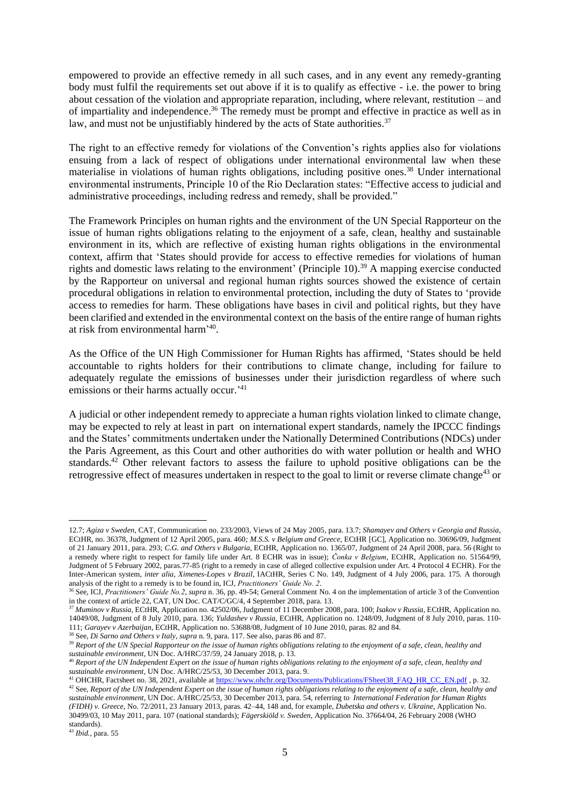empowered to provide an effective remedy in all such cases, and in any event any remedy-granting body must fulfil the requirements set out above if it is to qualify as effective - i.e. the power to bring about cessation of the violation and appropriate reparation, including, where relevant, restitution – and of impartiality and independence.<sup>36</sup> The remedy must be prompt and effective in practice as well as in law, and must not be unjustifiably hindered by the acts of State authorities.<sup>37</sup>

The right to an effective remedy for violations of the Convention's rights applies also for violations ensuing from a lack of respect of obligations under international environmental law when these materialise in violations of human rights obligations, including positive ones.<sup>38</sup> Under international environmental instruments, Principle 10 of the Rio Declaration states: "Effective access to judicial and administrative proceedings, including redress and remedy, shall be provided."

The Framework Principles on human rights and the environment of the UN Special Rapporteur on the issue of human rights obligations relating to the enjoyment of a safe, clean, healthy and sustainable environment in its, which are reflective of existing human rights obligations in the environmental context, affirm that 'States should provide for access to effective remedies for violations of human rights and domestic laws relating to the environment' (Principle 10).<sup>39</sup> A mapping exercise conducted by the Rapporteur on universal and regional human rights sources showed the existence of certain procedural obligations in relation to environmental protection, including the duty of States to 'provide access to remedies for harm. These obligations have bases in civil and political rights, but they have been clarified and extended in the environmental context on the basis of the entire range of human rights at risk from environmental harm' 40 .

As the Office of the UN High Commissioner for Human Rights has affirmed, 'States should be held accountable to rights holders for their contributions to climate change, including for failure to adequately regulate the emissions of businesses under their jurisdiction regardless of where such emissions or their harms actually occur.<sup>'41</sup>

A judicial or other independent remedy to appreciate a human rights violation linked to climate change, may be expected to rely at least in part on international expert standards, namely the IPCCC findings and the States' commitments undertaken under the Nationally Determined Contributions (NDCs) under the Paris Agreement, as this Court and other authorities do with water pollution or health and WHO standards.<sup>42</sup> Other relevant factors to assess the failure to uphold positive obligations can be the retrogressive effect of measures undertaken in respect to the goal to limit or reverse climate change<sup>43</sup> or

<sup>38</sup> See, *Di Sarno and Others v Italy*, *supra* n. 9, para. 117. See also, paras 86 and 87.

<sup>12.7;</sup> *Agiza v Sweden*, CAT, Communication no. 233/2003, Views of 24 May 2005, para. 13.7; *Shamayev and Others v Georgia and Russia*, ECtHR, no. 36378, Judgment of 12 April 2005, para. 460*; M.S.S. v Belgium and Greece,* ECtHR [GC], Application no. 30696/09, Judgment of 21 January 2011, para. 293; *C.G. and Others v Bulgaria*, ECtHR, Application no. 1365/07, Judgment of 24 April 2008, para. 56 (Right to a remedy where right to respect for family life under Art. 8 ECHR was in issue); *Čonka v Belgium*, ECtHR, Application no. 51564/99, Judgment of 5 February 2002, paras.77-85 (right to a remedy in case of alleged collective expulsion under Art. 4 Protocol 4 ECHR). For the Inter-American system, *inter alia*, *Ximenes-Lopes v Brazil*, IACtHR, Series C No. 149, Judgment of 4 July 2006, para. 175. A thorough analysis of the right to a remedy is to be found in, ICJ, *Practitioners' Guide No. 2*.

<sup>36</sup> See, ICJ, *Practitioners' Guide No.2*, *supra* n. 36, pp. 49-54; General Comment No. 4 on the implementation of article 3 of the Convention in the context of article 22, CAT, UN Doc. CAT/C/GC/4, 4 September 2018*,* para. 13.

<sup>37</sup> *Muminov v Russia*, ECtHR, Application no. 42502/06, Judgment of 11 December 2008, para. 100; *Isakov v Russia*, ECtHR, Application no. 14049/08, Judgment of 8 July 2010, para. 136; *Yuldashev v Russia*, ECtHR, Application no. 1248/09, Judgment of 8 July 2010, paras. 110- 111; *Garayev v Azerbaijan*, ECtHR, Application no. 53688/08, Judgment of 10 June 2010, paras. 82 and 84.

<sup>39</sup> *Report of the UN Special Rapporteur on the issue of human rights obligations relating to the enjoyment of a safe, clean, healthy and sustainable environment*, UN Doc. A/HRC/37/59, 24 January 2018, p. 13.

<sup>40</sup> *Report of the UN Independent Expert on the issue of human rights obligations relating to the enjoyment of a safe, clean, healthy and sustainable environment,* UN Doc. A/HRC/25/53, 30 December 2013, para. 9.

<sup>&</sup>lt;sup>41</sup> OHCHR, Factsheet no. 38, 2021, available at [https://www.ohchr.org/Documents/Publications/FSheet38\\_FAQ\\_HR\\_CC\\_EN.pdf](https://www.ohchr.org/Documents/Publications/FSheet38_FAQ_HR_CC_EN.pdf) , p. 32. <sup>42</sup> See, *Report of the UN Independent Expert on the issue of human rights obligations relating to the enjoyment of a safe, clean, healthy and sustainable environment,* UN Doc. A/HRC/25/53, 30 December 2013, para. 54, referring to *International Federation for Human Rights (FIDH) v. Greece*, No. 72/2011, 23 January 2013, paras. 42–44, 148 and, for example, *Dubetska and others v. Ukraine,* Application No. 30499/03, 10 May 2011, para. 107 (national standards); *Fägerskiöld v. Sweden*, Application No. 37664/04, 26 February 2008 (WHO standards).

<sup>43</sup> *Ibid.*, para. 55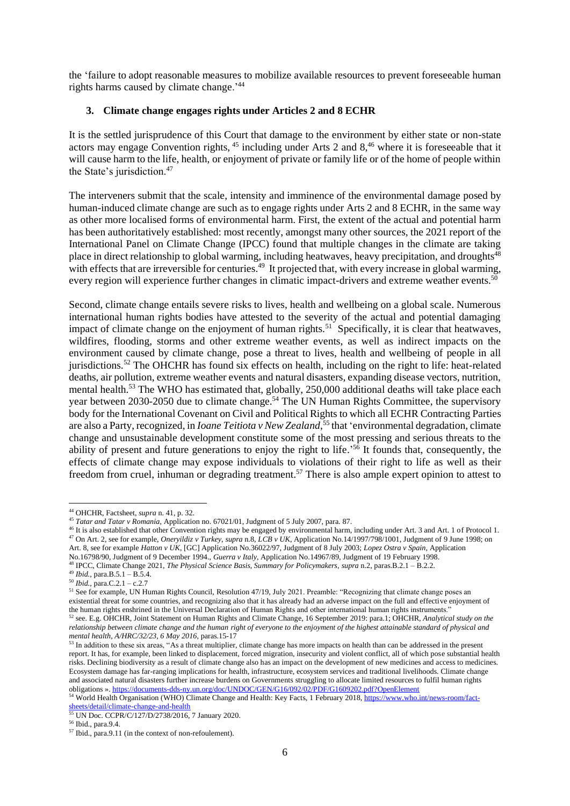the 'failure to adopt reasonable measures to mobilize available resources to prevent foreseeable human rights harms caused by climate change.'<sup>44</sup>

#### **3. Climate change engages rights under Articles 2 and 8 ECHR**

It is the settled jurisprudence of this Court that damage to the environment by either state or non-state actors may engage Convention rights, <sup>45</sup> including under Arts 2 and 8,<sup>46</sup> where it is foreseeable that it will cause harm to the life, health, or enjoyment of private or family life or of the home of people within the State's jurisdiction.<sup>47</sup>

The interveners submit that the scale, intensity and imminence of the environmental damage posed by human-induced climate change are such as to engage rights under Arts 2 and 8 ECHR, in the same way as other more localised forms of environmental harm. First, the extent of the actual and potential harm has been authoritatively established: most recently, amongst many other sources, the 2021 report of the International Panel on Climate Change (IPCC) found that multiple changes in the climate are taking place in direct relationship to global warming, including heatwaves, heavy precipitation, and droughts<sup>48</sup> with effects that are irreversible for centuries.<sup>49</sup> It projected that, with every increase in global warming, every region will experience further changes in climatic impact-drivers and extreme weather events.<sup>50</sup>

Second, climate change entails severe risks to lives, health and wellbeing on a global scale. Numerous international human rights bodies have attested to the severity of the actual and potential damaging impact of climate change on the enjoyment of human rights.<sup>51</sup> Specifically, it is clear that heatwaves, wildfires, flooding, storms and other extreme weather events, as well as indirect impacts on the environment caused by climate change, pose a threat to lives, health and wellbeing of people in all jurisdictions.<sup>52</sup> The OHCHR has found six effects on health, including on the right to life: heat-related deaths, air pollution, extreme weather events and natural disasters, expanding disease vectors, nutrition, mental health.<sup>53</sup> The WHO has estimated that, globally, 250,000 additional deaths will take place each year between 2030-2050 due to climate change.<sup>54</sup> The UN Human Rights Committee, the supervisory body for the International Covenant on Civil and Political Rights to which all ECHR Contracting Parties are also a Party, recognized, in *Ioane Teitiota v New Zealand*, <sup>55</sup> that 'environmental degradation, climate change and unsustainable development constitute some of the most pressing and serious threats to the ability of present and future generations to enjoy the right to life.<sup>'56</sup> It founds that, consequently, the effects of climate change may expose individuals to violations of their right to life as well as their freedom from cruel, inhuman or degrading treatment.<sup>57</sup> There is also ample expert opinion to attest to

No.16798/90, Judgment of 9 December 1994., *Guerra v Italy*, Application No.14967/89, Judgment of 19 February 1998.

<sup>44</sup> OHCHR, Factsheet, *supra* n. 41, p. 32.

<sup>45</sup> *Tatar and Tatar v Romania*, Application no. 67021/01, Judgment of 5 July 2007, para. 87.

<sup>46</sup> It is also established that other Convention rights may be engaged by environmental harm, including under Art. 3 and Art. 1 of Protocol 1. <sup>47</sup> On Art. 2, see for example, *Oneryildiz v Turkey*, *supra* n.8, *LCB v UK*, Application No.14/1997/798/1001, Judgment of 9 June 1998; on Art. 8, see for example *Hatton v UK*, [GC] Application No.36022/97, Judgment of 8 July 2003; *Lopez Ostra v Spain*, Application

<sup>48</sup> IPCC, Climate Change 2021, *The Physical Science Basis, Summary for Policymakers*, *supra* n.2, paras.B.2.1 – B.2.2.

<sup>49</sup> *Ibid.,* para.B.5.1 – B.5.4.

<sup>50</sup> *Ibid.,* para.C.2.1 – c.2.7

<sup>51</sup> See for example, UN Human Rights Council, Resolution 47/19, July 2021. Preamble: "Recognizing that climate change poses an existential threat for some countries, and recognizing also that it has already had an adverse impact on the full and effective enjoyment of the human rights enshrined in the Universal Declaration of Human Rights and other international human rights instruments." <sup>52</sup> see. E.g. OHCHR, Joint Statement on Human Rights and Climate Change, 16 September 2019: para.1; OHCHR, *Analytical study on the relationship between climate change and the human right of everyone to the enjoyment of the highest attainable standard of physical and mental health, A/HRC/32/23, 6 May 2016,* paras.15-17

<sup>&</sup>lt;sup>53</sup> In addition to these six areas, "As a threat multiplier, climate change has more impacts on health than can be addressed in the present report. It has, for example, been linked to displacement, forced migration, insecurity and violent conflict, all of which pose substantial health risks. Declining biodiversity as a result of climate change also has an impact on the development of new medicines and access to medicines. Ecosystem damage has far-ranging implications for health, infrastructure, ecosystem services and traditional livelihoods. Climate change and associated natural disasters further increase burdens on Governments struggling to allocate limited resources to fulfil human rights obligations ». <https://documents-dds-ny.un.org/doc/UNDOC/GEN/G16/092/02/PDF/G1609202.pdf?OpenElement>

<sup>54</sup> World Health Organisation (WHO) Climate Change and Health: Key Facts, 1 February 2018[, https://www.who.int/news-room/fact](https://www.who.int/news-room/fact-sheets/detail/climate-change-and-health)[sheets/detail/climate-change-and-health](https://www.who.int/news-room/fact-sheets/detail/climate-change-and-health)

<sup>55</sup> UN Doc. CCPR/C/127/D/2738/2016, 7 January 2020.

<sup>56</sup> Ibid., para.9.4.

<sup>57</sup> Ibid., para.9.11 (in the context of non-refoulement).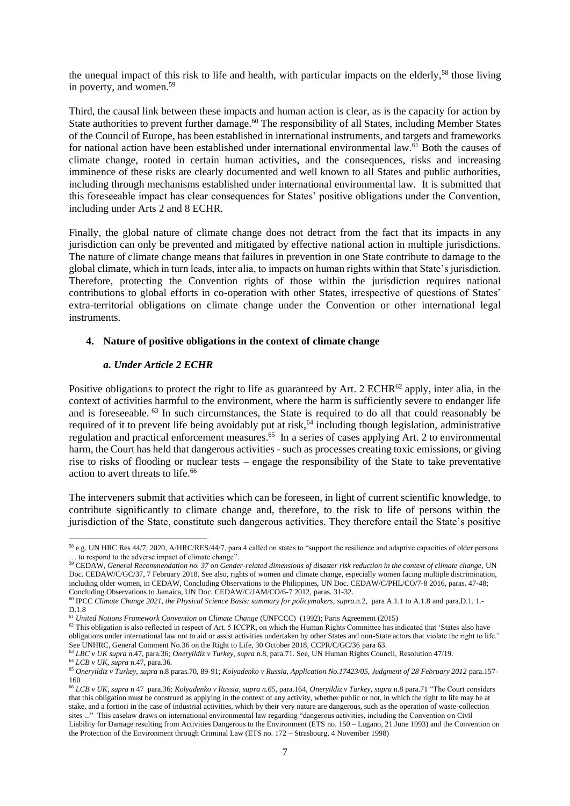the unequal impact of this risk to life and health, with particular impacts on the elderly,<sup>58</sup> those living in poverty, and women.<sup>59</sup>

Third, the causal link between these impacts and human action is clear, as is the capacity for action by State authorities to prevent further damage.<sup>60</sup> The responsibility of all States, including Member States of the Council of Europe, has been established in international instruments, and targets and frameworks for national action have been established under international environmental law.<sup>61</sup> Both the causes of climate change, rooted in certain human activities, and the consequences, risks and increasing imminence of these risks are clearly documented and well known to all States and public authorities, including through mechanisms established under international environmental law. It is submitted that this foreseeable impact has clear consequences for States' positive obligations under the Convention, including under Arts 2 and 8 ECHR.

Finally, the global nature of climate change does not detract from the fact that its impacts in any jurisdiction can only be prevented and mitigated by effective national action in multiple jurisdictions. The nature of climate change means that failures in prevention in one State contribute to damage to the global climate, which in turn leads, inter alia, to impacts on human rights within that State's jurisdiction. Therefore, protecting the Convention rights of those within the jurisdiction requires national contributions to global efforts in co-operation with other States, irrespective of questions of States' extra-territorial obligations on climate change under the Convention or other international legal instruments.

#### **4. Nature of positive obligations in the context of climate change**

#### *a. Under Article 2 ECHR*

Positive obligations to protect the right to life as guaranteed by Art. 2 ECHR $^{62}$  apply, inter alia, in the context of activities harmful to the environment, where the harm is sufficiently severe to endanger life and is foreseeable. <sup>63</sup> In such circumstances, the State is required to do all that could reasonably be required of it to prevent life being avoidably put at risk,<sup>64</sup> including though legislation, administrative regulation and practical enforcement measures.<sup>65</sup> In a series of cases applying Art. 2 to environmental harm, the Court has held that dangerous activities - such as processes creating toxic emissions, or giving rise to risks of flooding or nuclear tests – engage the responsibility of the State to take preventative action to avert threats to life.<sup>66</sup>

The interveners submit that activities which can be foreseen, in light of current scientific knowledge, to contribute significantly to climate change and, therefore, to the risk to life of persons within the jurisdiction of the State, constitute such dangerous activities. They therefore entail the State's positive

<sup>58</sup> e.g. UN HRC Res 44/7, 2020, A/HRC/RES/44/7, para.4 called on states to "support the resilience and adaptive capacities of older persons … to respond to the adverse impact of climate change".

<sup>59</sup> CEDAW, *General Recommendation no. 37 on Gender-related dimensions of disaster risk reduction in the context of climate change,* UN Doc. CEDAW/C/GC/37, 7 February 2018. See also, rights of women and climate change, especially women facing multiple discrimination, including older women, in CEDAW, Concluding Observations to the Philippines, UN Doc. CEDAW/C/PHL/CO/7-8 2016, paras. 47-48; Concluding Observations to Jamaica, UN Doc. CEDAW/C/JAM/CO/6-7 2012, paras. 31-32.

<sup>60</sup> IPCC *Climate Change 2021, the Physical Science Basis: summary for policymakers*, *supra*.n.2, para A.1.1 to A.1.8 and para.D.1. 1.- D.1.8

<sup>61</sup> *United Nations Framework Convention on Climate Change* (UNFCCC) (1992); Paris Agreement (2015)

 $62$  This obligation is also reflected in respect of Art. 5 ICCPR, on which the Human Rights Committee has indicated that 'States also have obligations under international law not to aid or assist activities undertaken by other States and non-State actors that violate the right to life.' See UNHRC, General Comment No.36 on the Right to Life, 30 October 2018, CCPR/C/GC/36 para 63.

<sup>63</sup> *LBC v UK supra* n.47, para.36; *Oneryildiz v Turkey*, *supra* n.8, para.71. See, UN Human Rights Council, Resolution 47/19. <sup>64</sup> *LCB v UK, supra* n.47*,* para.36*.*

<sup>65</sup> *Oneryildiz v Turkey, supra* n.8 paras.70, 89-91; *Kolyadenko v Russia, Application No.17423/05, Judgment of 28 February 2012* para.157- 160

<sup>66</sup> *LCB v UK*, *supra* n 47 para.36; *Kolyadenko v Russia, supra n.65,* para.164, *Oneryildiz v Turkey*, *supra* n.8 para.71 "The Court considers that this obligation must be construed as applying in the context of any activity, whether public or not, in which the right to life may be at stake, and a fortiori in the case of industrial activities, which by their very nature are dangerous, such as the operation of waste-collection sites ..." This caselaw draws on international environmental law regarding "dangerous activities, including the Convention on Civil Liability for Damage resulting from Activities Dangerous to the Environment (ETS no. 150 – Lugano, 21 June 1993) and the Convention on the Protection of the Environment through Criminal Law (ETS no. 172 – Strasbourg, 4 November 1998)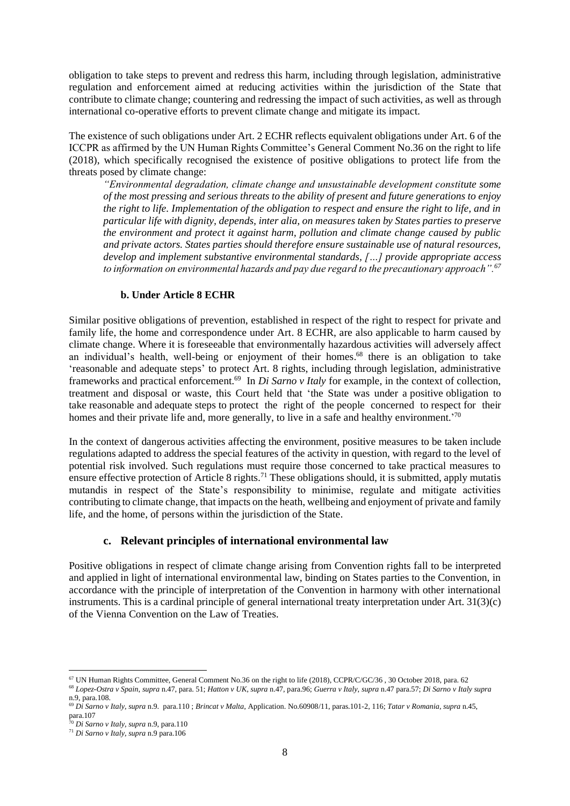obligation to take steps to prevent and redress this harm, including through legislation, administrative regulation and enforcement aimed at reducing activities within the jurisdiction of the State that contribute to climate change; countering and redressing the impact of such activities, as well as through international co-operative efforts to prevent climate change and mitigate its impact.

The existence of such obligations under Art. 2 ECHR reflects equivalent obligations under Art. 6 of the ICCPR as affirmed by the UN Human Rights Committee's General Comment No.36 on the right to life (2018), which specifically recognised the existence of positive obligations to protect life from the threats posed by climate change:

*"Environmental degradation, climate change and unsustainable development constitute some of the most pressing and serious threats to the ability of present and future generations to enjoy the right to life. Implementation of the obligation to respect and ensure the right to life, and in particular life with dignity, depends, inter alia, on measures taken by States parties to preserve the environment and protect it against harm, pollution and climate change caused by public and private actors. States parties should therefore ensure sustainable use of natural resources, develop and implement substantive environmental standards, […] provide appropriate access to information on environmental hazards and pay due regard to the precautionary approach".<sup>67</sup>*

## **b. Under Article 8 ECHR**

Similar positive obligations of prevention, established in respect of the right to respect for private and family life, the home and correspondence under Art. 8 ECHR, are also applicable to harm caused by climate change. Where it is foreseeable that environmentally hazardous activities will adversely affect an individual's health, well-being or enjoyment of their homes.<sup>68</sup> there is an obligation to take 'reasonable and adequate steps' to protect Art. 8 rights, including through legislation, administrative frameworks and practical enforcement.<sup>69</sup> In *Di Sarno v Italy* for example, in the context of collection, treatment and disposal or waste, this Court held that 'the State was under a positive obligation to take reasonable and adequate steps to protect the right of the people concerned to respect for their homes and their private life and, more generally, to live in a safe and healthy environment.<sup>70</sup>

In the context of dangerous activities affecting the environment, positive measures to be taken include regulations adapted to address the special features of the activity in question, with regard to the level of potential risk involved. Such regulations must require those concerned to take practical measures to ensure effective protection of Article 8 rights.<sup>71</sup> These obligations should, it is submitted, apply mutatis mutandis in respect of the State's responsibility to minimise, regulate and mitigate activities contributing to climate change, that impacts on the heath, wellbeing and enjoyment of private and family life, and the home, of persons within the jurisdiction of the State.

## **c. Relevant principles of international environmental law**

Positive obligations in respect of climate change arising from Convention rights fall to be interpreted and applied in light of international environmental law, binding on States parties to the Convention, in accordance with the principle of interpretation of the Convention in harmony with other international instruments. This is a cardinal principle of general international treaty interpretation under Art. 31(3)(c) of the Vienna Convention on the Law of Treaties.

<sup>67</sup> UN Human Rights Committee, General Comment No.36 on the right to life (2018), CCPR/C/GC/36 , 30 October 2018, para. 62

<sup>68</sup> *Lopez-Ostra v Spain*, *supra* n.47, para. 51; *Hatton v UK*, *supra* n.47, para.96; *Guerra v Italy*, *supra* n.47 para.57; *Di Sarno v Italy supra* n.9, para.108.

<sup>69</sup> *Di Sarno v Italy*, *supra* n.9. para.110 ; *Brincat v Malta*, Application. No.60908/11, paras.101-2, 116; *Tatar v Romania*, *supra* n.45, para.107

<sup>70</sup> *Di Sarno v Italy*, *supra* n.9, para.110

<sup>71</sup> *Di Sarno v Italy*, *supra* n.9 para.106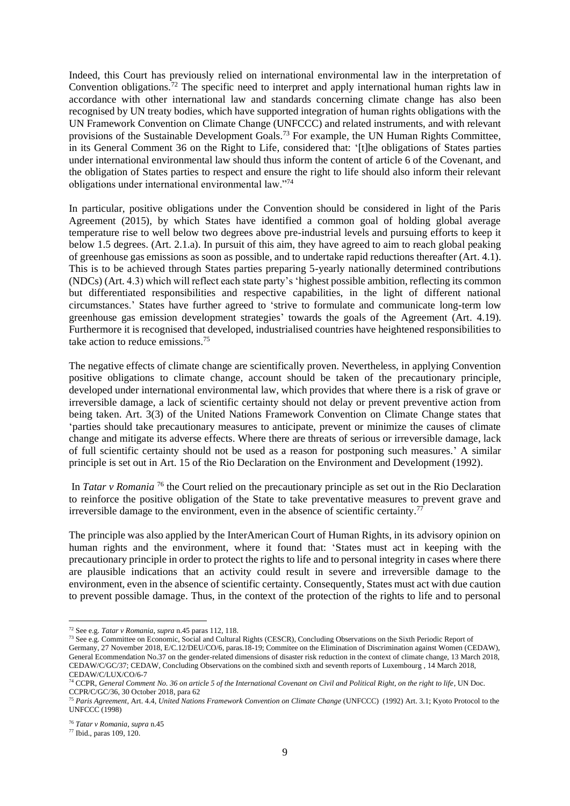Indeed, this Court has previously relied on international environmental law in the interpretation of Convention obligations.<sup>72</sup> The specific need to interpret and apply international human rights law in accordance with other international law and standards concerning climate change has also been recognised by UN treaty bodies, which have supported integration of human rights obligations with the UN Framework Convention on Climate Change (UNFCCC) and related instruments, and with relevant provisions of the Sustainable Development Goals.<sup>73</sup> For example, the UN Human Rights Committee, in its General Comment 36 on the Right to Life, considered that: '[t]he obligations of States parties under international environmental law should thus inform the content of article 6 of the Covenant, and the obligation of States parties to respect and ensure the right to life should also inform their relevant obligations under international environmental law."<sup>74</sup>

In particular, positive obligations under the Convention should be considered in light of the Paris Agreement (2015), by which States have identified a common goal of holding global average temperature rise to well below two degrees above pre-industrial levels and pursuing efforts to keep it below 1.5 degrees. (Art. 2.1.a). In pursuit of this aim, they have agreed to aim to reach global peaking of greenhouse gas emissions as soon as possible, and to undertake rapid reductions thereafter (Art. 4.1). This is to be achieved through States parties preparing 5-yearly nationally determined contributions (NDCs) (Art. 4.3) which will reflect each state party's 'highest possible ambition, reflecting its common but differentiated responsibilities and respective capabilities, in the light of different national circumstances.' States have further agreed to 'strive to formulate and communicate long-term low greenhouse gas emission development strategies' towards the goals of the Agreement (Art. 4.19). Furthermore it is recognised that developed, industrialised countries have heightened responsibilities to take action to reduce emissions.<sup>75</sup>

The negative effects of climate change are scientifically proven. Nevertheless, in applying Convention positive obligations to climate change, account should be taken of the precautionary principle, developed under international environmental law, which provides that where there is a risk of grave or irreversible damage, a lack of scientific certainty should not delay or prevent preventive action from being taken. Art. 3(3) of the United Nations Framework Convention on Climate Change states that 'parties should take precautionary measures to anticipate, prevent or minimize the causes of climate change and mitigate its adverse effects. Where there are threats of serious or irreversible damage, lack of full scientific certainty should not be used as a reason for postponing such measures.' A similar principle is set out in Art. 15 of the Rio Declaration on the Environment and Development (1992).

In *Tatar v Romania*<sup>76</sup> the Court relied on the precautionary principle as set out in the Rio Declaration to reinforce the positive obligation of the State to take preventative measures to prevent grave and irreversible damage to the environment, even in the absence of scientific certainty.<sup>77</sup>

The principle was also applied by the InterAmerican Court of Human Rights, in its advisory opinion on human rights and the environment, where it found that: 'States must act in keeping with the precautionary principle in order to protect the rights to life and to personal integrity in cases where there are plausible indications that an activity could result in severe and irreversible damage to the environment, even in the absence of scientific certainty. Consequently, States must act with due caution to prevent possible damage. Thus, in the context of the protection of the rights to life and to personal

<sup>72</sup> See e.g. *Tatar v Romania*, *supra* n.45 paras 112, 118.

<sup>&</sup>lt;sup>73</sup> See e.g. Committee on Economic, Social and Cultural Rights (CESCR), Concluding Observations on the Sixth Periodic Report of Germany, 27 November 2018, E/C.12/DEU/CO/6, paras.18-19; Commitee on the Elimination of Discrimination against Women (CEDAW), General Ecommendation No.37 on the gender-related dimensions of disaster risk reduction in the context of climate change, 13 March 2018, CEDAW/C/GC/37; CEDAW, Concluding Observations on the combined sixth and seventh reports of Luxembourg , 14 March 2018, CEDAW/C/LUX/CO/6-7

<sup>74</sup> CCPR, *General Comment No. 36 on article 5 of the International Covenant on Civil and Political Right, on the right to life*, UN Doc. CCPR/C/GC/36, 30 October 2018, para 62

<sup>75</sup> *Paris Agreement*, Art. 4.4, *United Nations Framework Convention on Climate Change* (UNFCCC) (1992) Art. 3.1; Kyoto Protocol to the UNFCCC (1998)

<sup>76</sup> *Tatar v Romania*, *supra* n.45

<sup>77</sup> Ibid., paras 109, 120.